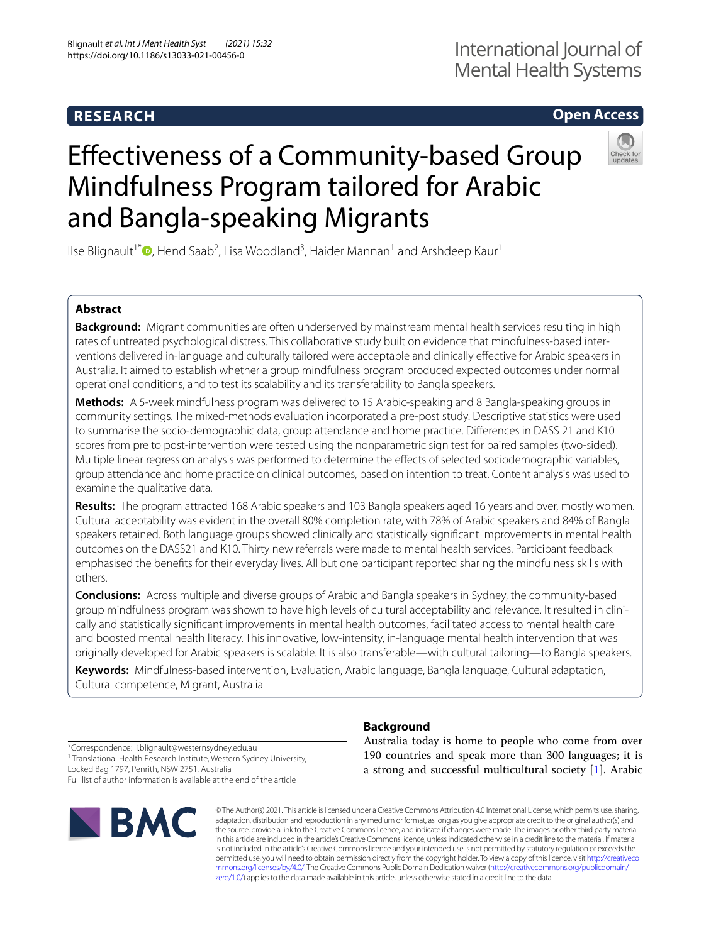## **RESEARCH**

## International Journal of Mental Health Systems

## **Open Access**

# Efectiveness of a Community-based Group Mindfulness Program tailored for Arabic and Bangla-speaking Migrants



Ilse Blignault<sup>1[\\*](http://orcid.org/0000-0002-7164-2217)</sup><sup>D</sup>, Hend Saab<sup>2</sup>, Lisa Woodland<sup>3</sup>, Haider Mannan<sup>1</sup> and Arshdeep Kaur<sup>1</sup>

### **Abstract**

**Background:** Migrant communities are often underserved by mainstream mental health services resulting in high rates of untreated psychological distress. This collaborative study built on evidence that mindfulness-based interventions delivered in-language and culturally tailored were acceptable and clinically efective for Arabic speakers in Australia. It aimed to establish whether a group mindfulness program produced expected outcomes under normal operational conditions, and to test its scalability and its transferability to Bangla speakers.

**Methods:** A 5-week mindfulness program was delivered to 15 Arabic-speaking and 8 Bangla-speaking groups in community settings. The mixed-methods evaluation incorporated a pre-post study. Descriptive statistics were used to summarise the socio-demographic data, group attendance and home practice. Diferences in DASS 21 and K10 scores from pre to post-intervention were tested using the nonparametric sign test for paired samples (two-sided). Multiple linear regression analysis was performed to determine the efects of selected sociodemographic variables, group attendance and home practice on clinical outcomes, based on intention to treat. Content analysis was used to examine the qualitative data.

**Results:** The program attracted 168 Arabic speakers and 103 Bangla speakers aged 16 years and over, mostly women. Cultural acceptability was evident in the overall 80% completion rate, with 78% of Arabic speakers and 84% of Bangla speakers retained. Both language groups showed clinically and statistically signifcant improvements in mental health outcomes on the DASS21 and K10. Thirty new referrals were made to mental health services. Participant feedback emphasised the benefts for their everyday lives. All but one participant reported sharing the mindfulness skills with others.

**Conclusions:** Across multiple and diverse groups of Arabic and Bangla speakers in Sydney, the community-based group mindfulness program was shown to have high levels of cultural acceptability and relevance. It resulted in clinically and statistically signifcant improvements in mental health outcomes, facilitated access to mental health care and boosted mental health literacy. This innovative, low-intensity, in-language mental health intervention that was originally developed for Arabic speakers is scalable. It is also transferable—with cultural tailoring—to Bangla speakers.

**Keywords:** Mindfulness-based intervention, Evaluation, Arabic language, Bangla language, Cultural adaptation, Cultural competence, Migrant, Australia

**Background**

\*Correspondence: i.blignault@westernsydney.edu.au <sup>1</sup> Translational Health Research Institute, Western Sydney University, Locked Bag 1797, Penrith, NSW 2751, Australia Full list of author information is available at the end of the article



Australia today is home to people who come from over 190 countries and speak more than 300 languages; it is a strong and successful multicultural society [\[1](#page-11-0)]. Arabic

© The Author(s) 2021. This article is licensed under a Creative Commons Attribution 4.0 International License, which permits use, sharing, adaptation, distribution and reproduction in any medium or format, as long as you give appropriate credit to the original author(s) and the source, provide a link to the Creative Commons licence, and indicate if changes were made. The images or other third party material in this article are included in the article's Creative Commons licence, unless indicated otherwise in a credit line to the material. If material is not included in the article's Creative Commons licence and your intended use is not permitted by statutory regulation or exceeds the permitted use, you will need to obtain permission directly from the copyright holder. To view a copy of this licence, visit [http://creativeco](http://creativecommons.org/licenses/by/4.0/) [mmons.org/licenses/by/4.0/.](http://creativecommons.org/licenses/by/4.0/) The Creative Commons Public Domain Dedication waiver ([http://creativecommons.org/publicdomain/](http://creativecommons.org/publicdomain/zero/1.0/) [zero/1.0/\)](http://creativecommons.org/publicdomain/zero/1.0/) applies to the data made available in this article, unless otherwise stated in a credit line to the data.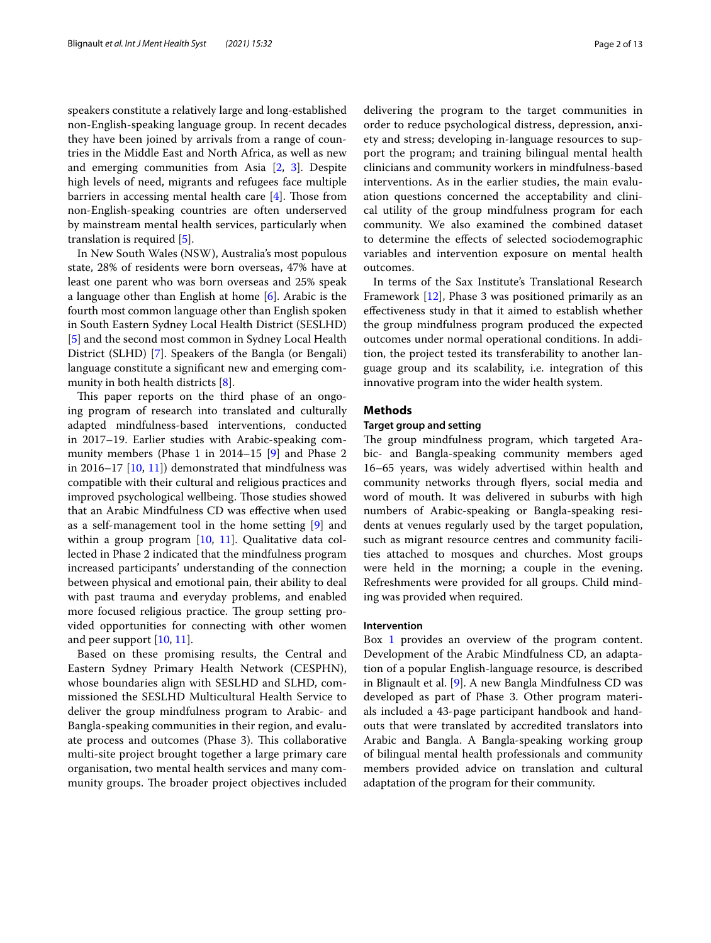speakers constitute a relatively large and long-established non-English-speaking language group. In recent decades they have been joined by arrivals from a range of countries in the Middle East and North Africa, as well as new and emerging communities from Asia [\[2](#page-11-1), [3\]](#page-11-2). Despite high levels of need, migrants and refugees face multiple barriers in accessing mental health care  $[4]$ . Those from non-English-speaking countries are often underserved by mainstream mental health services, particularly when translation is required [\[5](#page-11-4)].

In New South Wales (NSW), Australia's most populous state, 28% of residents were born overseas, 47% have at least one parent who was born overseas and 25% speak a language other than English at home [[6\]](#page-11-5). Arabic is the fourth most common language other than English spoken in South Eastern Sydney Local Health District (SESLHD) [[5\]](#page-11-4) and the second most common in Sydney Local Health District (SLHD) [\[7](#page-11-6)]. Speakers of the Bangla (or Bengali) language constitute a signifcant new and emerging community in both health districts [\[8](#page-11-7)].

This paper reports on the third phase of an ongoing program of research into translated and culturally adapted mindfulness-based interventions, conducted in 2017–19. Earlier studies with Arabic-speaking community members (Phase 1 in 2014–15 [[9\]](#page-11-8) and Phase 2 in 2016–17  $[10, 11]$  $[10, 11]$  $[10, 11]$  $[10, 11]$ ) demonstrated that mindfulness was compatible with their cultural and religious practices and improved psychological wellbeing. Those studies showed that an Arabic Mindfulness CD was efective when used as a self-management tool in the home setting [\[9](#page-11-8)] and within a group program  $[10, 11]$  $[10, 11]$  $[10, 11]$  $[10, 11]$ . Qualitative data collected in Phase 2 indicated that the mindfulness program increased participants' understanding of the connection between physical and emotional pain, their ability to deal with past trauma and everyday problems, and enabled more focused religious practice. The group setting provided opportunities for connecting with other women and peer support [\[10](#page-11-9), [11](#page-11-10)].

Based on these promising results, the Central and Eastern Sydney Primary Health Network (CESPHN), whose boundaries align with SESLHD and SLHD, commissioned the SESLHD Multicultural Health Service to deliver the group mindfulness program to Arabic- and Bangla-speaking communities in their region, and evaluate process and outcomes (Phase 3). This collaborative multi-site project brought together a large primary care organisation, two mental health services and many community groups. The broader project objectives included delivering the program to the target communities in order to reduce psychological distress, depression, anxiety and stress; developing in-language resources to support the program; and training bilingual mental health clinicians and community workers in mindfulness-based interventions. As in the earlier studies, the main evaluation questions concerned the acceptability and clinical utility of the group mindfulness program for each community. We also examined the combined dataset to determine the efects of selected sociodemographic variables and intervention exposure on mental health outcomes.

In terms of the Sax Institute's Translational Research Framework [[12\]](#page-11-11), Phase 3 was positioned primarily as an efectiveness study in that it aimed to establish whether the group mindfulness program produced the expected outcomes under normal operational conditions. In addition, the project tested its transferability to another language group and its scalability, i.e. integration of this innovative program into the wider health system.

#### **Methods**

#### **Target group and setting**

The group mindfulness program, which targeted Arabic- and Bangla-speaking community members aged 16–65 years, was widely advertised within health and community networks through fyers, social media and word of mouth. It was delivered in suburbs with high numbers of Arabic-speaking or Bangla-speaking residents at venues regularly used by the target population, such as migrant resource centres and community facilities attached to mosques and churches. Most groups were held in the morning; a couple in the evening. Refreshments were provided for all groups. Child minding was provided when required.

#### **Intervention**

Box [1](#page-2-0) provides an overview of the program content. Development of the Arabic Mindfulness CD, an adaptation of a popular English-language resource, is described in Blignault et al. [\[9](#page-11-8)]. A new Bangla Mindfulness CD was developed as part of Phase 3. Other program materials included a 43-page participant handbook and handouts that were translated by accredited translators into Arabic and Bangla. A Bangla-speaking working group of bilingual mental health professionals and community members provided advice on translation and cultural adaptation of the program for their community.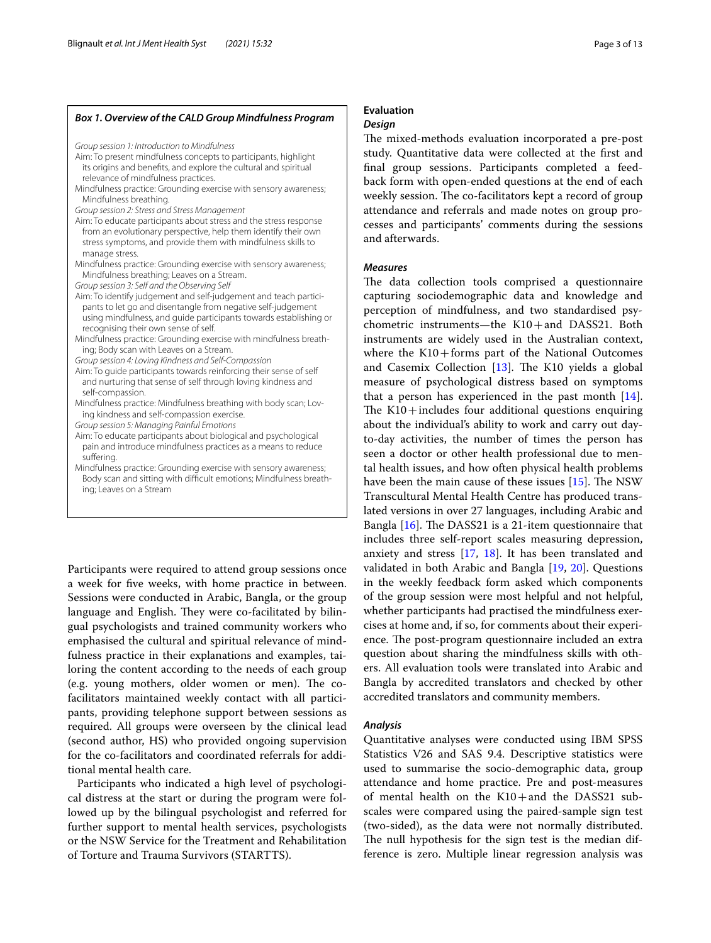#### <span id="page-2-0"></span>*Box 1. Overview of the CALD Group Mindfulness Program*

*Group session 1: Introduction to Mindfulness*

- Aim: To present mindfulness concepts to participants, highlight its origins and benefts, and explore the cultural and spiritual relevance of mindfulness practices.
- Mindfulness practice: Grounding exercise with sensory awareness; Mindfulness breathing.

*Group session 2: Stress and Stress Management*

- Aim: To educate participants about stress and the stress response from an evolutionary perspective, help them identify their own stress symptoms, and provide them with mindfulness skills to manage stress.
- Mindfulness practice: Grounding exercise with sensory awareness; Mindfulness breathing; Leaves on a Stream.

*Group session 3: Self and the Observing Self*

- Aim: To identify judgement and self-judgement and teach participants to let go and disentangle from negative self-judgement using mindfulness, and guide participants towards establishing or recognising their own sense of self.
- Mindfulness practice: Grounding exercise with mindfulness breathing; Body scan with Leaves on a Stream.

*Group session 4: Loving Kindness and Self-Compassion*

Aim: To guide participants towards reinforcing their sense of self and nurturing that sense of self through loving kindness and self-compassion.

Mindfulness practice: Mindfulness breathing with body scan; Loving kindness and self-compassion exercise.

*Group session 5: Managing Painful Emotions*

Aim: To educate participants about biological and psychological pain and introduce mindfulness practices as a means to reduce suffering.

Mindfulness practice: Grounding exercise with sensory awareness; Body scan and sitting with difficult emotions; Mindfulness breathing; Leaves on a Stream

Participants were required to attend group sessions once a week for fve weeks, with home practice in between. Sessions were conducted in Arabic, Bangla, or the group language and English. They were co-facilitated by bilingual psychologists and trained community workers who emphasised the cultural and spiritual relevance of mindfulness practice in their explanations and examples, tailoring the content according to the needs of each group (e.g. young mothers, older women or men). The cofacilitators maintained weekly contact with all participants, providing telephone support between sessions as required. All groups were overseen by the clinical lead (second author, HS) who provided ongoing supervision for the co-facilitators and coordinated referrals for additional mental health care.

Participants who indicated a high level of psychological distress at the start or during the program were followed up by the bilingual psychologist and referred for further support to mental health services, psychologists or the NSW Service for the Treatment and Rehabilitation of Torture and Trauma Survivors (STARTTS).

#### **Evaluation** *Design*

The mixed-methods evaluation incorporated a pre-post study. Quantitative data were collected at the frst and fnal group sessions. Participants completed a feedback form with open-ended questions at the end of each weekly session. The co-facilitators kept a record of group attendance and referrals and made notes on group processes and participants' comments during the sessions and afterwards.

#### *Measures*

The data collection tools comprised a questionnaire capturing sociodemographic data and knowledge and perception of mindfulness, and two standardised psychometric instruments—the K10+and DASS21. Both instruments are widely used in the Australian context, where the  $K10+$  forms part of the National Outcomes and Casemix Collection  $[13]$  $[13]$ . The K10 yields a global measure of psychological distress based on symptoms that a person has experienced in the past month [\[14](#page-11-13)]. The  $K10$  + includes four additional questions enquiring about the individual's ability to work and carry out dayto-day activities, the number of times the person has seen a doctor or other health professional due to mental health issues, and how often physical health problems have been the main cause of these issues  $[15]$  $[15]$ . The NSW Transcultural Mental Health Centre has produced translated versions in over 27 languages, including Arabic and Bangla  $[16]$  $[16]$  $[16]$ . The DASS21 is a 21-item questionnaire that includes three self-report scales measuring depression, anxiety and stress [[17,](#page-11-16) [18](#page-11-17)]. It has been translated and validated in both Arabic and Bangla [[19,](#page-11-18) [20](#page-11-19)]. Questions in the weekly feedback form asked which components of the group session were most helpful and not helpful, whether participants had practised the mindfulness exercises at home and, if so, for comments about their experience. The post-program questionnaire included an extra question about sharing the mindfulness skills with others. All evaluation tools were translated into Arabic and Bangla by accredited translators and checked by other accredited translators and community members.

#### *Analysis*

Quantitative analyses were conducted using IBM SPSS Statistics V26 and SAS 9.4. Descriptive statistics were used to summarise the socio-demographic data, group attendance and home practice. Pre and post-measures of mental health on the  $K10+$  and the DASS21 subscales were compared using the paired-sample sign test (two-sided), as the data were not normally distributed. The null hypothesis for the sign test is the median difference is zero. Multiple linear regression analysis was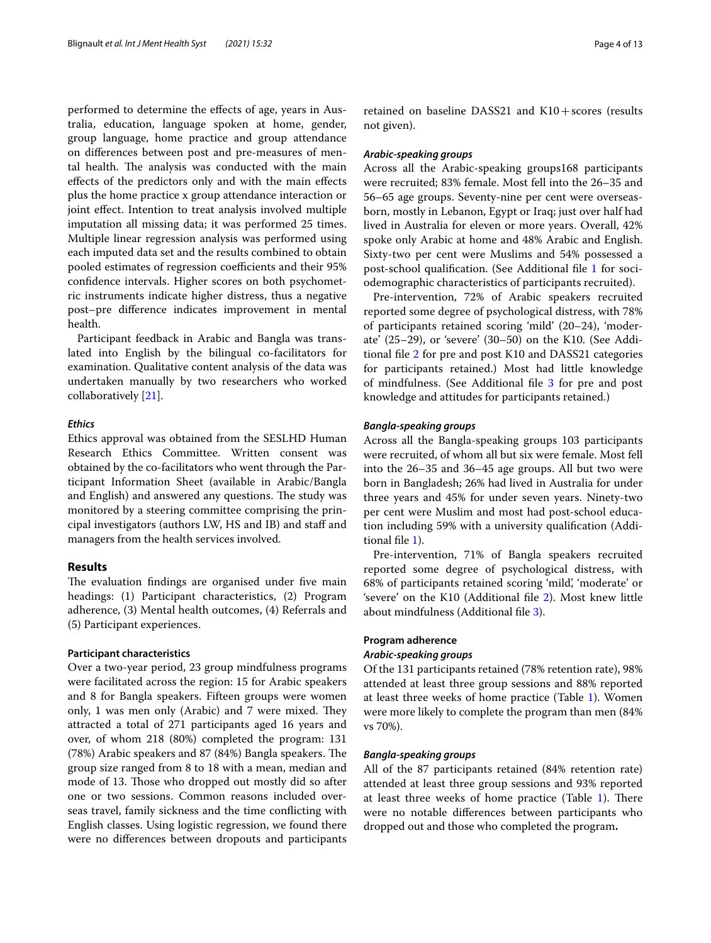performed to determine the efects of age, years in Australia, education, language spoken at home, gender, group language, home practice and group attendance on diferences between post and pre-measures of mental health. The analysis was conducted with the main efects of the predictors only and with the main efects plus the home practice x group attendance interaction or joint effect. Intention to treat analysis involved multiple imputation all missing data; it was performed 25 times. Multiple linear regression analysis was performed using each imputed data set and the results combined to obtain pooled estimates of regression coefficients and their 95% confdence intervals. Higher scores on both psychometric instruments indicate higher distress, thus a negative post–pre diference indicates improvement in mental health.

Participant feedback in Arabic and Bangla was translated into English by the bilingual co-facilitators for examination. Qualitative content analysis of the data was undertaken manually by two researchers who worked collaboratively [[21\]](#page-12-0).

#### *Ethics*

Ethics approval was obtained from the SESLHD Human Research Ethics Committee. Written consent was obtained by the co-facilitators who went through the Participant Information Sheet (available in Arabic/Bangla and English) and answered any questions. The study was monitored by a steering committee comprising the principal investigators (authors LW, HS and IB) and staf and managers from the health services involved.

#### **Results**

The evaluation findings are organised under five main headings: (1) Participant characteristics, (2) Program adherence, (3) Mental health outcomes, (4) Referrals and (5) Participant experiences.

#### **Participant characteristics**

Over a two-year period, 23 group mindfulness programs were facilitated across the region: 15 for Arabic speakers and 8 for Bangla speakers. Fifteen groups were women only, 1 was men only (Arabic) and 7 were mixed. They attracted a total of 271 participants aged 16 years and over, of whom 218 (80%) completed the program: 131  $(78%)$  Arabic speakers and 87  $(84%)$  Bangla speakers. The group size ranged from 8 to 18 with a mean, median and mode of 13. Those who dropped out mostly did so after one or two sessions. Common reasons included overseas travel, family sickness and the time conficting with English classes. Using logistic regression, we found there were no diferences between dropouts and participants retained on baseline DASS21 and K10+scores (results not given).

#### *Arabic‑speaking groups*

Across all the Arabic-speaking groups168 participants were recruited; 83% female. Most fell into the 26–35 and 56–65 age groups. Seventy-nine per cent were overseasborn, mostly in Lebanon, Egypt or Iraq; just over half had lived in Australia for eleven or more years. Overall, 42% spoke only Arabic at home and 48% Arabic and English. Sixty-two per cent were Muslims and 54% possessed a post-school qualifcation. (See Additional fle [1](#page-10-0) for sociodemographic characteristics of participants recruited).

Pre-intervention, 72% of Arabic speakers recruited reported some degree of psychological distress, with 78% of participants retained scoring 'mild' (20–24), 'moderate' (25–29), or 'severe' (30–50) on the K10. (See Additional fle [2](#page-10-1) for pre and post K10 and DASS21 categories for participants retained.) Most had little knowledge of mindfulness. (See Additional file [3](#page-10-2) for pre and post knowledge and attitudes for participants retained.)

#### *Bangla‑speaking groups*

Across all the Bangla-speaking groups 103 participants were recruited, of whom all but six were female. Most fell into the 26–35 and 36–45 age groups. All but two were born in Bangladesh; 26% had lived in Australia for under three years and 45% for under seven years. Ninety-two per cent were Muslim and most had post-school education including 59% with a university qualifcation (Additional fle [1](#page-10-0)).

Pre-intervention, 71% of Bangla speakers recruited reported some degree of psychological distress, with 68% of participants retained scoring 'mild', 'moderate' or 'severe' on the K10 (Additional fle [2](#page-10-1)). Most knew little about mindfulness (Additional fle [3\)](#page-10-2).

#### **Program adherence**

#### *Arabic‑speaking groups*

Of the 131 participants retained (78% retention rate), 98% attended at least three group sessions and 88% reported at least three weeks of home practice (Table [1](#page-4-0)). Women were more likely to complete the program than men (84% vs 70%).

#### *Bangla‑speaking groups*

All of the 87 participants retained (84% retention rate) attended at least three group sessions and 93% reported at least three weeks of home practice (Table  $1$ ). There were no notable diferences between participants who dropped out and those who completed the program**.**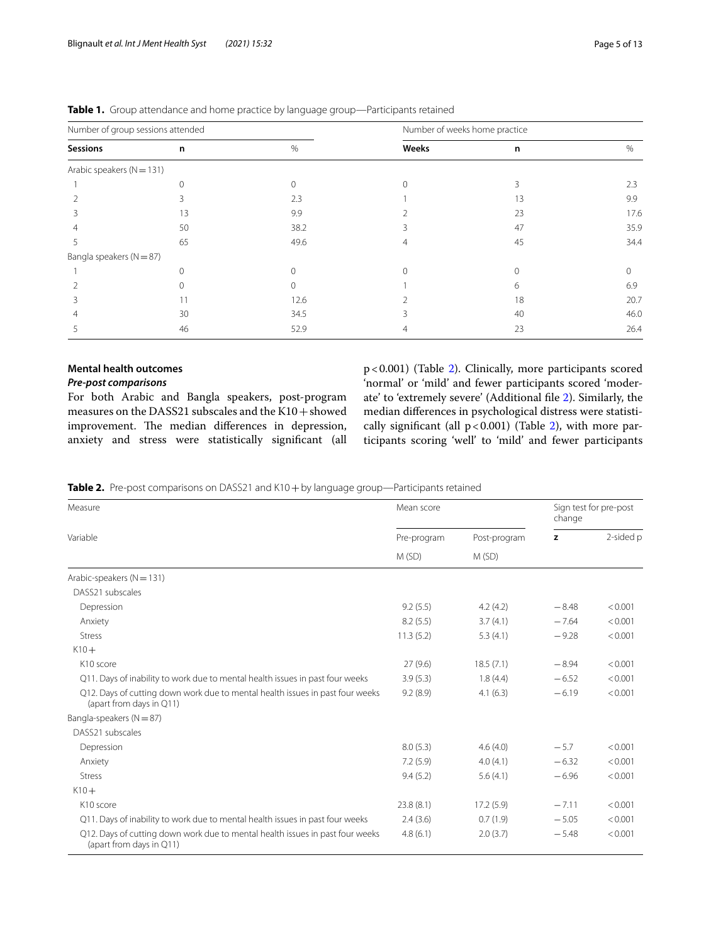| Number of group sessions attended |           |      | Number of weeks home practice |    |      |  |
|-----------------------------------|-----------|------|-------------------------------|----|------|--|
| <b>Sessions</b>                   | $\%$<br>n |      | Weeks                         | n  | %    |  |
| Arabic speakers ( $N = 131$ )     |           |      |                               |    |      |  |
|                                   |           | O    |                               | 3  | 2.3  |  |
|                                   |           | 2.3  |                               | 13 | 9.9  |  |
|                                   | 13        | 9.9  |                               | 23 | 17.6 |  |
|                                   | 50        | 38.2 |                               | 47 | 35.9 |  |
|                                   | 65        | 49.6 | 4                             | 45 | 34.4 |  |
| Bangla speakers ( $N = 87$ )      |           |      |                               |    |      |  |
|                                   |           |      |                               |    |      |  |
|                                   |           |      |                               | 6  | 6.9  |  |
|                                   |           | 12.6 |                               | 18 | 20.7 |  |
|                                   | 30        | 34.5 |                               | 40 | 46.0 |  |
|                                   | 46        | 52.9 |                               | 23 | 26.4 |  |

<span id="page-4-0"></span>**Table 1.** Group attendance and home practice by language group—Participants retained

#### **Mental health outcomes**

#### *Pre‑post comparisons*

For both Arabic and Bangla speakers, post-program measures on the DASS21 subscales and the  $K10+$ showed improvement. The median differences in depression, anxiety and stress were statistically signifcant (all p<0.001) (Table [2\)](#page-4-1). Clinically, more participants scored 'normal' or 'mild' and fewer participants scored 'moderate' to 'extremely severe' (Additional fle [2\)](#page-10-1). Similarly, the median diferences in psychological distress were statistically significant (all  $p < 0.001$ ) (Table [2](#page-4-1)), with more participants scoring 'well' to 'mild' and fewer participants

<span id="page-4-1"></span>

| Table 2. Pre-post comparisons on DASS21 and K10 + by language group—Participants retained |  |
|-------------------------------------------------------------------------------------------|--|
|-------------------------------------------------------------------------------------------|--|

| Measure                                                                                                   | Mean score  |              | Sign test for pre-post<br>change |           |  |
|-----------------------------------------------------------------------------------------------------------|-------------|--------------|----------------------------------|-----------|--|
| Variable                                                                                                  | Pre-program | Post-program | z                                | 2-sided p |  |
|                                                                                                           | M(SD)       | M (SD)       |                                  |           |  |
| Arabic-speakers ( $N = 131$ )                                                                             |             |              |                                  |           |  |
| DASS21 subscales                                                                                          |             |              |                                  |           |  |
| Depression                                                                                                | 9.2(5.5)    | 4.2(4.2)     | $-8.48$                          | < 0.001   |  |
| Anxiety                                                                                                   | 8.2(5.5)    | 3.7(4.1)     | $-7.64$                          | < 0.001   |  |
| <b>Stress</b>                                                                                             | 11.3(5.2)   | 5.3(4.1)     | $-9.28$                          | < 0.001   |  |
| $K10+$                                                                                                    |             |              |                                  |           |  |
| K10 score                                                                                                 | 27(9.6)     | 18.5(7.1)    | $-8.94$                          | < 0.001   |  |
| Q11. Days of inability to work due to mental health issues in past four weeks                             | 3.9(5.3)    | 1.8(4.4)     | $-6.52$                          | < 0.001   |  |
| Q12. Days of cutting down work due to mental health issues in past four weeks<br>(apart from days in Q11) | 9.2(8.9)    | 4.1(6.3)     | $-6.19$                          | < 0.001   |  |
| Bangla-speakers ( $N = 87$ )                                                                              |             |              |                                  |           |  |
| DASS21 subscales                                                                                          |             |              |                                  |           |  |
| Depression                                                                                                | 8.0(5.3)    | 4.6(4.0)     | $-5.7$                           | < 0.001   |  |
| Anxiety                                                                                                   | 7.2(5.9)    | 4.0(4.1)     | $-6.32$                          | < 0.001   |  |
| <b>Stress</b>                                                                                             | 9.4(5.2)    | 5.6(4.1)     | $-6.96$                          | < 0.001   |  |
| $K10+$                                                                                                    |             |              |                                  |           |  |
| K10 score                                                                                                 | 23.8(8.1)   | 17.2(5.9)    | $-7.11$                          | < 0.001   |  |
| Q11. Days of inability to work due to mental health issues in past four weeks                             | 2.4(3.6)    | 0.7(1.9)     | $-5.05$                          | < 0.001   |  |
| Q12. Days of cutting down work due to mental health issues in past four weeks<br>(apart from days in Q11) | 4.8(6.1)    | 2.0(3.7)     | $-5.48$                          | < 0.001   |  |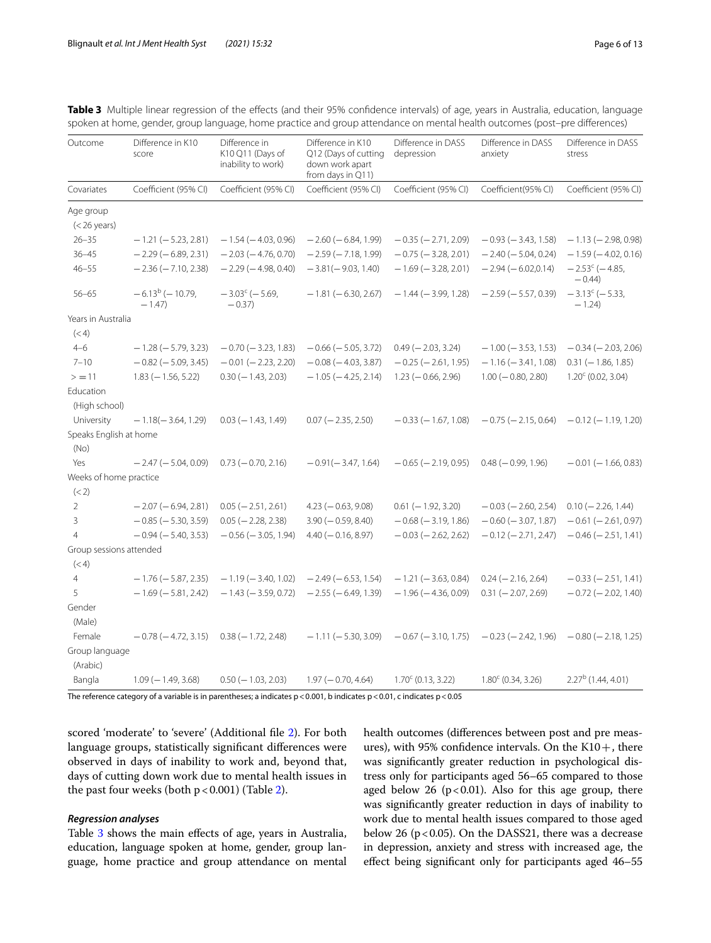| Outcome<br>Difference in K10<br>Difference in<br>Difference in K10<br>Difference in DASS<br>Difference in DASS                                              | Difference in DASS             |
|-------------------------------------------------------------------------------------------------------------------------------------------------------------|--------------------------------|
| K10 Q11 (Days of<br>Q12 (Days of cutting<br>depression<br>anxiety<br>score<br>inability to work)<br>down work apart<br>from days in Q11)                    | stress                         |
| Coefficient (95% CI)<br>Coefficient (95% CI)<br>Coefficient (95% CI)<br>Coefficient (95% CI)<br>Coefficient (95% CI)<br>Covariates                          | Coefficient (95% CI)           |
| Age group<br>$(<$ 26 years)                                                                                                                                 |                                |
| $26 - 35$<br>$-1.21 (-5.23, 2.81)$<br>$-1.54(-4.03, 0.96)$<br>$-2.60(-6.84, 1.99)$<br>$-0.35 (-2.71, 2.09)$<br>$-0.93$ ( $-3.43$ , 1.58)                    | $-1.13 (-2.98, 0.98)$          |
| $36 - 45$<br>$-2.29(-6.89, 2.31)$<br>$-2.03$ ( $-4.76$ , 0.70)<br>$-2.59(-7.18, 1.99)$<br>$-0.75$ ( $-3.28$ , 2.01)<br>$-2.40$ ( $-5.04$ , 0.24)            | $-1.59(-4.02, 0.16)$           |
| $46 - 55$<br>$-3.81(-9.03, 1.40)$<br>$-2.36 (-7.10, 2.38)$<br>$-2.29(-4.98, 0.40)$<br>$-1.69$ ( $-3.28$ , 2.01)<br>$-2.94(-6.02,0.14)$                      | $-2.53^c$ (-4.85,<br>$-0.44$ ) |
| $-6.13^b$ (-10.79,<br>$-3.03^c$ (-5.69,<br>$56 - 65$<br>$-1.81 (-6.30, 2.67)$<br>$-1.44 (-3.99, 1.28)$<br>$-2.59$ ( $-5.57$ , 0.39)<br>$-1.47$<br>$-0.37$ ) | $-3.13^c$ (-5.33,<br>$-1.24$   |
| Years in Australia                                                                                                                                          |                                |
| (< 4)                                                                                                                                                       |                                |
| $-0.70$ ( $-3.23$ , 1.83)<br>$4 - 6$<br>$-1.28$ ( $-5.79$ , 3.23)<br>$-0.66$ ( $-5.05$ , 3.72)<br>$0.49$ ( $-2.03$ , 3.24)<br>$-1.00$ ( $-3.53$ , 1.53)     | $-0.34 (-2.03, 2.06)$          |
| $7 - 10$<br>$-0.82$ ( $-5.09$ , 3.45)<br>$-0.01$ ( $-2.23$ , 2.20)<br>$-0.08$ ( $-4.03$ , 3.87)<br>$-0.25$ ( $-2.61$ , 1.95)<br>$-1.16 (-3.41, 1.08)$       | $0.31 (-1.86, 1.85)$           |
| >11<br>$1.83 (-1.56, 5.22)$<br>$0.30 (-1.43, 2.03)$<br>$-1.05$ ( $-4.25$ , 2.14)<br>$1.23 (-0.66, 2.96)$<br>$1.00 (-0.80, 2.80)$                            | $1.20^c$ (0.02, 3.04)          |
| Education<br>(High school)                                                                                                                                  |                                |
| University<br>$-1.18(-3.64, 1.29)$<br>$0.03 (-1.43, 1.49)$<br>$0.07 (-2.35, 2.50)$<br>$-0.33 (-1.67, 1.08)$<br>$-0.75$ ( $-2.15$ , 0.64)                    | $-0.12$ ( $-1.19$ , 1.20)      |
| Speaks English at home<br>(No)                                                                                                                              |                                |
| Yes<br>$-2.47$ ( $-5.04$ , 0.09)<br>$0.73 (-0.70, 2.16)$<br>$-0.91(-3.47, 1.64)$<br>$-0.65$ ( $-2.19, 0.95$ )<br>$0.48 (-0.99, 1.96)$                       | $-0.01$ ( $-1.66$ , 0.83)      |
| Weeks of home practice                                                                                                                                      |                                |
| (< 2)                                                                                                                                                       |                                |
| $\overline{2}$<br>$0.05 (-2.51, 2.61)$<br>$4.23 (-0.63, 9.08)$<br>$-0.03$ ( $-2.60$ , 2.54)<br>$-2.07$ ( $-6.94$ , 2.81)<br>$0.61$ (-1.92, 3.20)            | $0.10 (-2.26, 1.44)$           |
| $0.05$ (-2.28, 2.38)<br>$3.90 (-0.59, 8.40)$<br>3<br>$-0.85$ ( $-5.30$ , 3.59)<br>$-0.68$ ( $-3.19$ , 1.86)<br>$-0.60$ ( $-3.07$ , 1.87)                    | $-0.61$ ( $-2.61$ , 0.97)      |
| $\overline{4}$<br>$-0.94 (-5.40, 3.53)$<br>$4.40 (-0.16, 8.97)$<br>$-0.12$ ( $-2.71$ , 2.47)<br>$-0.56$ ( $-3.05$ , 1.94)<br>$-0.03$ ( $-2.62$ , 2.62)      | $-0.46$ ( $-2.51$ , 1.41)      |
| Group sessions attended                                                                                                                                     |                                |
| (< 4)                                                                                                                                                       |                                |
| $\overline{4}$<br>$-1.76$ ( $-5.87$ , 2.35)<br>$-1.19(-3.40, 1.02)$<br>$-2.49(-6.53, 1.54)$<br>$-1.21 (-3.63, 0.84)$<br>$0.24 (-2.16, 2.64)$                | $-0.33 (-2.51, 1.41)$          |
| 5<br>$-1.69$ ( $-5.81$ , 2.42)<br>$-1.43$ ( $-3.59$ , 0.72)<br>$-2.55$ ( $-6.49$ , 1.39)<br>$-1.96(-4.36, 0.09)$<br>$0.31 (-2.07, 2.69)$                    | $-0.72$ ( $-2.02$ , 1.40)      |
| Gender<br>(Male)                                                                                                                                            |                                |
| $-0.78(-4.72, 3.15)$<br>Female<br>$0.38 (-1.72, 2.48)$<br>$-1.11 (-5.30, 3.09)$<br>$-0.67$ ( $-3.10$ , 1.75)<br>$-0.23$ ( $-2.42$ , 1.96)                   | $-0.80$ ( $-2.18$ , 1.25)      |
| Group language<br>(Arabic)                                                                                                                                  |                                |
| $1.80^{\circ}$ (0.34, 3.26)<br>Bangla<br>$0.50 (-1.03, 2.03)$<br>$1.97 (-0.70, 4.64)$<br>$1.70^{\circ}$ (0.13, 3.22)<br>$1.09(-1.49, 3.68)$                 | $2.27b$ (1.44, 4.01)           |

<span id="page-5-0"></span>

|  | Table 3 Multiple linear regression of the effects (and their 95% confidence intervals) of age, years in Australia, education, language |  |  |  |  |  |
|--|----------------------------------------------------------------------------------------------------------------------------------------|--|--|--|--|--|
|  | spoken at home, gender, group language, home practice and group attendance on mental health outcomes (post-pre differences)            |  |  |  |  |  |

The reference category of a variable is in parentheses; a indicates p < 0.001, b indicates p < 0.01, c indicates p < 0.05

scored 'moderate' to 'severe' (Additional fle [2](#page-10-1)). For both language groups, statistically signifcant diferences were observed in days of inability to work and, beyond that, days of cutting down work due to mental health issues in the past four weeks (both  $p < 0.001$ ) (Table [2\)](#page-4-1).

#### *Regression analyses*

Table [3](#page-5-0) shows the main efects of age, years in Australia, education, language spoken at home, gender, group language, home practice and group attendance on mental health outcomes (diferences between post and pre measures), with 95% confidence intervals. On the  $K10+$ , there was signifcantly greater reduction in psychological distress only for participants aged 56–65 compared to those aged below 26 ( $p < 0.01$ ). Also for this age group, there was signifcantly greater reduction in days of inability to work due to mental health issues compared to those aged below 26 ( $p$ <0.05). On the DASS21, there was a decrease in depression, anxiety and stress with increased age, the efect being signifcant only for participants aged 46–55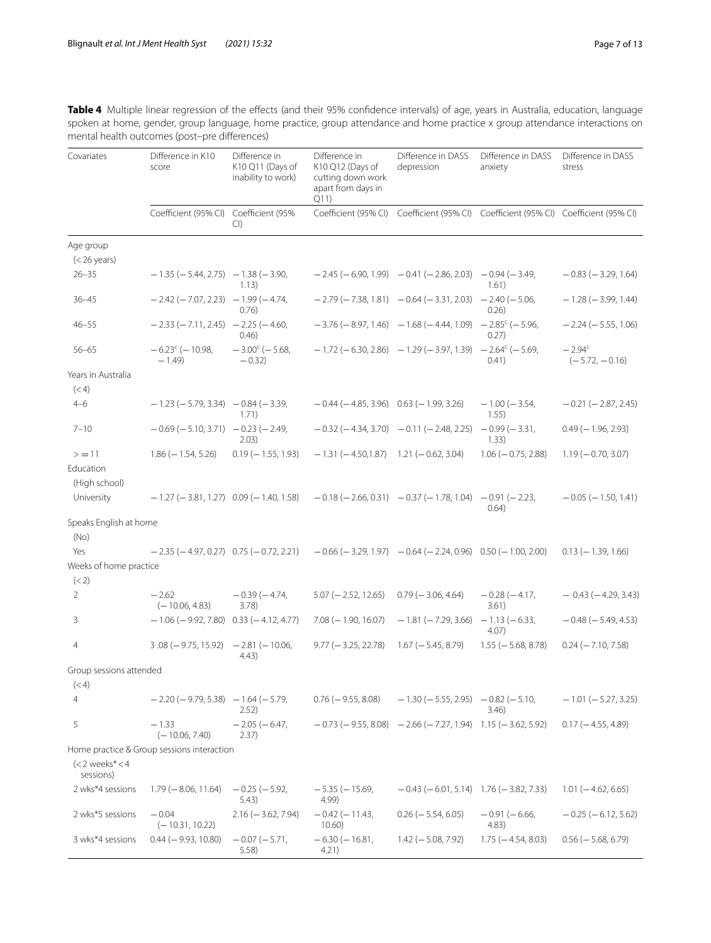<span id="page-6-0"></span>Table 4 Multiple linear regression of the effects (and their 95% confidence intervals) of age, years in Australia, education, language spoken at home, gender, group language, home practice, group attendance and home practice x group attendance interactions on mental health outcomes (post–pre diferences)

| Covariates                                  | Difference in K10<br>score                       | Difference in<br>K10 Q11 (Days of<br>inability to work) | Difference in<br>K10 Q12 (Days of<br>cutting down work<br>apart from days in<br>Q11) | Difference in DASS<br>depression                                             | Difference in DASS<br>anxiety                                  | Difference in DASS<br>stress  |  |
|---------------------------------------------|--------------------------------------------------|---------------------------------------------------------|--------------------------------------------------------------------------------------|------------------------------------------------------------------------------|----------------------------------------------------------------|-------------------------------|--|
|                                             | Coefficient (95% CI) Coefficient (95%            | Cl                                                      | Coefficient (95% CI)                                                                 |                                                                              | Coefficient (95% CI) Coefficient (95% CI) Coefficient (95% CI) |                               |  |
| Age group<br>$(<$ 26 years)                 |                                                  |                                                         |                                                                                      |                                                                              |                                                                |                               |  |
| $26 - 35$                                   | $-1.35$ ( $-5.44$ , 2.75) $-1.38$ ( $-3.90$ ,    | 1.13)                                                   |                                                                                      | $-2.45 (-6.90, 1.99) -0.41 (-2.86, 2.03) -0.94 (-3.49,$                      | 1.61)                                                          | $-0.83$ ( $-3.29$ , 1.64)     |  |
| $36 - 45$                                   | $-2.42 (-7.07, 2.23) -1.99 (-4.74,$              | 0.76)                                                   |                                                                                      | $-2.79(-7.38, 1.81) -0.64(-3.31, 2.03) -2.40(-5.06,$                         | 0.26)                                                          | $-1.28$ ( $-3.99$ , 1.44)     |  |
| $46 - 55$                                   | $-2.33(-7.11, 2.45) -2.25(-4.60,$                | 0.46)                                                   |                                                                                      | $-3.76$ ( $-8.97$ , 1.46) $-1.68$ ( $-4.44$ , 1.09)                          | $-2.85^{\circ}$ (-5.96,<br>0.27)                               | $-2.24(-5.55, 1.06)$          |  |
| $56 - 65$                                   | $-6.23^{\circ}$ (-10.98,<br>$-1.49$              | $-3.00^{\circ}$ ( $-5.68$ )<br>$-0.32$                  |                                                                                      | $-1.72$ (-6.30, 2.86) $-1.29$ (-3.97, 1.39)                                  | $-2.64^c$ (-5.69,<br>0.41)                                     | $-2.94^c$<br>$(-5.72, -0.16)$ |  |
| Years in Australia<br>(< 4)                 |                                                  |                                                         |                                                                                      |                                                                              |                                                                |                               |  |
| $4 - 6$                                     | $-1.23$ ( $-5.79$ , 3.34) $-0.84$ ( $-3.39$ ,    | 1.71)                                                   | $-0.44$ ( $-4.85$ , 3.96) $0.63$ ( $-1.99$ , 3.26)                                   |                                                                              | $-1.00$ ( $-3.54$ )<br>1.55)                                   | $-0.21 (-2.87, 2.45)$         |  |
| $7 - 10$                                    | $-0.69$ ( $-5.10$ , 3.71) $-0.23$ ( $-2.49$ ,    | 2.03)                                                   |                                                                                      | $-0.32$ ( $-4.34$ , 3.70) $-0.11$ ( $-2.48$ , 2.25)                          | $-0.99(-3.31,$<br>1.33)                                        | $0.49$ ( $-1.96$ , 2.93)      |  |
| >11<br>Education<br>(High school)           | $1.86 (-1.54, 5.26)$                             | $0.19(-1.55, 1.93)$                                     | $-1.31(-4.50, 1.87)$                                                                 | $1.21 (-0.62, 3.04)$                                                         | $1.06 (-0.75, 2.88)$                                           | $1.19 (-0.70, 3.07)$          |  |
| University                                  | $-1.27$ (-3.81, 1.27) 0.09 (-1.40, 1.58)         |                                                         |                                                                                      | $-0.18$ (-2.66, 0.31) -0.37 (-1.78, 1.04) -0.91 (-2.23,                      | 0.64)                                                          | $-0.05$ ( $-1.50$ , 1.41)     |  |
| Speaks English at home<br>(N <sub>O</sub> ) |                                                  |                                                         |                                                                                      |                                                                              |                                                                |                               |  |
| Yes                                         | $-2.35$ ( $-4.97$ , 0.27) 0.75 ( $-0.72$ , 2.21) |                                                         |                                                                                      | $-0.66$ ( $-3.29$ , 1.97) $-0.64$ ( $-2.24$ , 0.96) $0.50$ ( $-1.00$ , 2.00) |                                                                | $0.13 (-1.39, 1.66)$          |  |
| Weeks of home practice<br>(< 2)             |                                                  |                                                         |                                                                                      |                                                                              |                                                                |                               |  |
| $\overline{2}$                              | $-2.62$<br>$(-10.06, 4.83)$                      | $-0.39(-4.74,$<br>3.78                                  | $5.07$ (-2.52, 12.65)                                                                | $0.79$ ( $-3.06$ , 4.64)                                                     | $-0.28(-4.17,$<br>3.61)                                        | $-0.43(-4.29, 3.43)$          |  |
| 3                                           | $-1.06$ ( $-9.92$ , 7.80) 0.33 ( $-4.12$ , 4.77) |                                                         | $7.08 (-1.90, 16.07)$                                                                | $-1.81 (-7.29, 3.66)$                                                        | $-1.13$ ( $-6.33$ )<br>4.07)                                   | $-0.48$ ( $-5.49$ , 4.53)     |  |
| $\overline{4}$                              | $3.08 (-9.75, 15.92) -2.81 (-10.06,$             | 4.43)                                                   | $9.77 (-3.25, 22.78)$                                                                | $1.67$ ( $-5.45, 8.79$ )                                                     | $1.55 (-5.68, 8.78)$                                           | $0.24 (-7.10, 7.58)$          |  |
| Group sessions attended                     |                                                  |                                                         |                                                                                      |                                                                              |                                                                |                               |  |
| (< 4)                                       |                                                  |                                                         |                                                                                      |                                                                              |                                                                |                               |  |
| 4                                           | $-2.20$ ( $-9.79$ , 5.38) $-1.64$ ( $-5.79$ ,    | 2.52)                                                   | $0.76$ ( $-9.55$ , 8.08)                                                             | $-1.30$ (-5.55, 2.95) - 0.82 (-5.10,                                         | 3.46)                                                          | $-1.01$ ( $-5.27, 3.25$ )     |  |
| 5                                           | $-1.33$<br>$(-10.06, 7.40)$                      | $-2.05(-6.47,$<br>2.37)                                 | $-0.73$ ( $-9.55$ , 8.08)                                                            | $-2.66$ ( $-7.27$ , 1.94) 1.15 ( $-3.62$ , 5.92)                             |                                                                | $0.17$ ( $-4.55$ , 4.89)      |  |
|                                             | Home practice & Group sessions interaction       |                                                         |                                                                                      |                                                                              |                                                                |                               |  |
| $(< 2$ weeks* < 4<br>sessions)              |                                                  |                                                         |                                                                                      |                                                                              |                                                                |                               |  |
| 2 wks*4 sessions                            | $1.79(-8.06, 11.64)$                             | $-0.25$ ( $-5.92$ )<br>5.43)                            | $-5.35$ ( $-15.69$ )<br>4.99)                                                        | $-0.43$ ( $-6.01$ , 5.14) 1.76 ( $-3.82$ , 7.33)                             |                                                                | $1.01 (-4.62, 6.65)$          |  |
| 2 wks*5 sessions                            | $-0.04$<br>$(-10.31, 10.22)$                     | $2.16 (-3.62, 7.94)$                                    | $-0.42$ ( $-11.43$ ,<br>10.60)                                                       | $0.26$ ( $-5.54$ , 6.05)                                                     | $-0.91(-6.66,$<br>4.83)                                        | $-0.25$ ( $-6.12, 5.62$ )     |  |
| 3 wks*4 sessions                            | $0.44 (-9.93, 10.80)$                            | $-0.07$ ( $-5.71$ )<br>5.58)                            | $-6.30(-16.81,$<br>4.21)                                                             | $1.42 (-5.08, 7.92)$                                                         | $1.75 (-4.54, 8.03)$                                           | $0.56$ ( $-5.68$ , 6.79)      |  |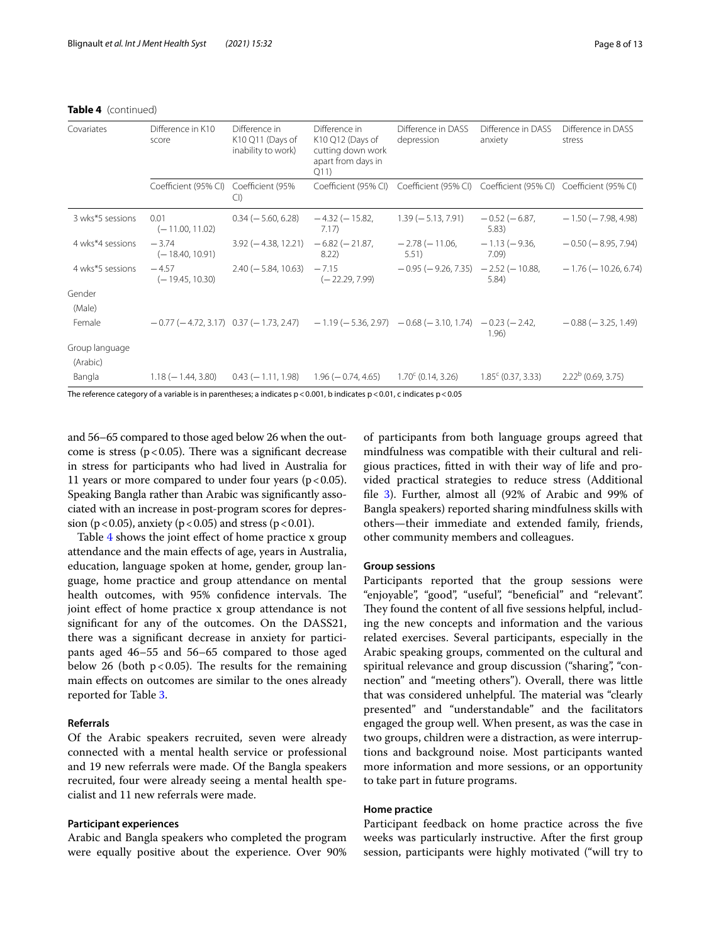#### **Table 4** (continued)

| Covariates                 | Difference in K10<br>score   | Difference in<br>K10 Q11 (Days of<br>inability to work) | Difference in<br>K10 Q12 (Days of<br>cutting down work<br>apart from days in<br>Q11) | Difference in DASS<br>depression                                                    | Difference in DASS<br>anxiety | Difference in DASS<br>stress |
|----------------------------|------------------------------|---------------------------------------------------------|--------------------------------------------------------------------------------------|-------------------------------------------------------------------------------------|-------------------------------|------------------------------|
|                            | Coefficient (95% CI)         | Coefficient (95%<br>Cl)                                 |                                                                                      | Coefficient (95% CI) Coefficient (95% CI) Coefficient (95% CI) Coefficient (95% CI) |                               |                              |
| 3 wks*5 sessions           | 0.01<br>$(-11.00, 11.02)$    | $0.34 (-5.60, 6.28)$                                    | $-4.32(-15.82,$<br>7.17)                                                             | $1.39(-5.13, 7.91)$                                                                 | $-0.52$ ( $-6.87$ )<br>5.83)  | $-1.50$ ( $-7.98$ , 4.98)    |
| 4 wks*4 sessions           | $-3.74$<br>$(-18.40, 10.91)$ | $3.92$ ( $-4.38$ , 12.21)                               | $-6.82$ ( $-21.87$ )<br>8.22                                                         | $-2.78(-11.06,$<br>5.51                                                             | $-1.13$ ( $-9.36$ )<br>7.09)  | $-0.50$ ( $-8.95, 7.94$ )    |
| 4 wks*5 sessions           | $-4.57$<br>$(-19.45, 10.30)$ | $2.40 (-5.84, 10.63)$                                   | $-7.15$<br>$(-22.29, 7.99)$                                                          | $-0.95$ ( $-9.26$ , 7.35) $-2.52$ ( $-10.88$ ,                                      | 5.84)                         | $-1.76$ ( $-10.26$ , 6.74)   |
| Gender<br>(Male)           |                              |                                                         |                                                                                      |                                                                                     |                               |                              |
| Female                     |                              | $-0.77$ ( $-4.72$ , 3.17) $0.37$ ( $-1.73$ , 2.47)      |                                                                                      | $-1.19(-5.36, 2.97) -0.68(-3.10, 1.74) -0.23(-2.42,$                                | 1.96)                         | $-0.88$ ( $-3.25$ , 1.49)    |
| Group language<br>(Arabic) |                              |                                                         |                                                                                      |                                                                                     |                               |                              |
| Bangla                     | $1.18 (-1.44, 3.80)$         | $0.43$ ( $-1.11$ , 1.98)                                | $1.96 (-0.74, 4.65)$                                                                 | $1.70^{\circ}$ (0.14, 3.26)                                                         | $1.85^{\circ}$ (0.37, 3.33)   | $2.22b$ (0.69, 3.75)         |

The reference category of a variable is in parentheses; a indicates p <0.001, b indicates p <0.01, c indicates p <0.05

and 56–65 compared to those aged below 26 when the outcome is stress ( $p < 0.05$ ). There was a significant decrease in stress for participants who had lived in Australia for 11 years or more compared to under four years ( $p < 0.05$ ). Speaking Bangla rather than Arabic was signifcantly associated with an increase in post-program scores for depression (p < 0.05), anxiety (p < 0.05) and stress (p < 0.01).

Table [4](#page-6-0) shows the joint efect of home practice x group attendance and the main efects of age, years in Australia, education, language spoken at home, gender, group language, home practice and group attendance on mental health outcomes, with 95% confidence intervals. The joint efect of home practice x group attendance is not signifcant for any of the outcomes. On the DASS21, there was a signifcant decrease in anxiety for participants aged 46–55 and 56–65 compared to those aged below 26 (both  $p < 0.05$ ). The results for the remaining main efects on outcomes are similar to the ones already reported for Table [3](#page-4-0).

#### **Referrals**

Of the Arabic speakers recruited, seven were already connected with a mental health service or professional and 19 new referrals were made. Of the Bangla speakers recruited, four were already seeing a mental health specialist and 11 new referrals were made.

#### **Participant experiences**

Arabic and Bangla speakers who completed the program were equally positive about the experience. Over 90% of participants from both language groups agreed that mindfulness was compatible with their cultural and religious practices, ftted in with their way of life and provided practical strategies to reduce stress (Additional fle [3\)](#page-10-2). Further, almost all (92% of Arabic and 99% of Bangla speakers) reported sharing mindfulness skills with others—their immediate and extended family, friends, other community members and colleagues.

#### **Group sessions**

Participants reported that the group sessions were "enjoyable", "good", "useful", "benefcial" and "relevant". They found the content of all five sessions helpful, including the new concepts and information and the various related exercises. Several participants, especially in the Arabic speaking groups, commented on the cultural and spiritual relevance and group discussion ("sharing", "connection" and "meeting others"). Overall, there was little that was considered unhelpful. The material was "clearly presented" and "understandable" and the facilitators engaged the group well. When present, as was the case in two groups, children were a distraction, as were interruptions and background noise. Most participants wanted more information and more sessions, or an opportunity to take part in future programs.

#### **Home practice**

Participant feedback on home practice across the fve weeks was particularly instructive. After the frst group session, participants were highly motivated ("will try to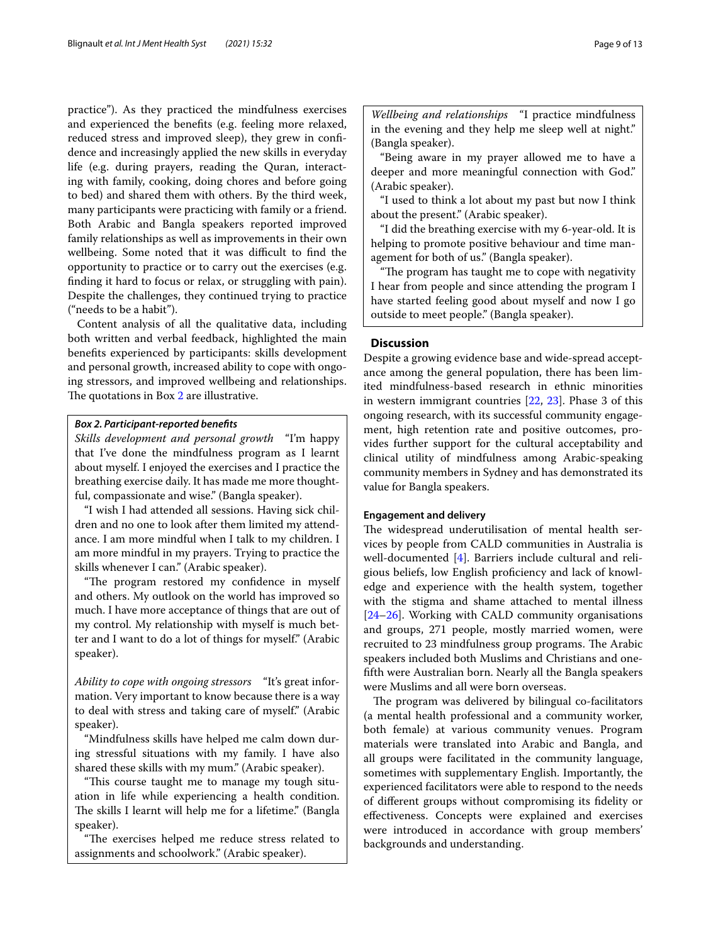practice"). As they practiced the mindfulness exercises and experienced the benefts (e.g. feeling more relaxed, reduced stress and improved sleep), they grew in confdence and increasingly applied the new skills in everyday life (e.g. during prayers, reading the Quran, interacting with family, cooking, doing chores and before going to bed) and shared them with others. By the third week, many participants were practicing with family or a friend. Both Arabic and Bangla speakers reported improved family relationships as well as improvements in their own wellbeing. Some noted that it was difficult to find the opportunity to practice or to carry out the exercises (e.g. fnding it hard to focus or relax, or struggling with pain). Despite the challenges, they continued trying to practice ("needs to be a habit").

Content analysis of all the qualitative data, including both written and verbal feedback, highlighted the main benefts experienced by participants: skills development and personal growth, increased ability to cope with ongoing stressors, and improved wellbeing and relationships. The quotations in Box [2](#page-8-0) are illustrative.

#### <span id="page-8-0"></span>*Box 2. Participant‑reported benefts*

*Skills development and personal growth* "I'm happy that I've done the mindfulness program as I learnt about myself. I enjoyed the exercises and I practice the breathing exercise daily. It has made me more thoughtful, compassionate and wise." (Bangla speaker).

"I wish I had attended all sessions. Having sick children and no one to look after them limited my attendance. I am more mindful when I talk to my children. I am more mindful in my prayers. Trying to practice the skills whenever I can." (Arabic speaker).

"The program restored my confidence in myself and others. My outlook on the world has improved so much. I have more acceptance of things that are out of my control. My relationship with myself is much better and I want to do a lot of things for myself." (Arabic speaker).

*Ability to cope with ongoing stressors* "It's great information. Very important to know because there is a way to deal with stress and taking care of myself." (Arabic speaker).

"Mindfulness skills have helped me calm down during stressful situations with my family. I have also shared these skills with my mum." (Arabic speaker).

"This course taught me to manage my tough situation in life while experiencing a health condition. The skills I learnt will help me for a lifetime." (Bangla speaker).

"The exercises helped me reduce stress related to assignments and schoolwork." (Arabic speaker).

*Wellbeing and relationships* "I practice mindfulness in the evening and they help me sleep well at night." (Bangla speaker).

"Being aware in my prayer allowed me to have a deeper and more meaningful connection with God." (Arabic speaker).

"I used to think a lot about my past but now I think about the present." (Arabic speaker).

"I did the breathing exercise with my 6-year-old. It is helping to promote positive behaviour and time management for both of us." (Bangla speaker).

"The program has taught me to cope with negativity I hear from people and since attending the program I have started feeling good about myself and now I go outside to meet people." (Bangla speaker).

#### **Discussion**

Despite a growing evidence base and wide-spread acceptance among the general population, there has been limited mindfulness-based research in ethnic minorities in western immigrant countries [[22,](#page-12-1) [23](#page-12-2)]. Phase 3 of this ongoing research, with its successful community engagement, high retention rate and positive outcomes, provides further support for the cultural acceptability and clinical utility of mindfulness among Arabic-speaking community members in Sydney and has demonstrated its value for Bangla speakers.

#### **Engagement and delivery**

The widespread underutilisation of mental health services by people from CALD communities in Australia is well-documented [\[4](#page-11-3)]. Barriers include cultural and religious beliefs, low English profciency and lack of knowledge and experience with the health system, together with the stigma and shame attached to mental illness [[24–](#page-12-3)[26\]](#page-12-4). Working with CALD community organisations and groups, 271 people, mostly married women, were recruited to 23 mindfulness group programs. The Arabic speakers included both Muslims and Christians and oneffth were Australian born. Nearly all the Bangla speakers were Muslims and all were born overseas.

The program was delivered by bilingual co-facilitators (a mental health professional and a community worker, both female) at various community venues. Program materials were translated into Arabic and Bangla, and all groups were facilitated in the community language, sometimes with supplementary English. Importantly, the experienced facilitators were able to respond to the needs of diferent groups without compromising its fdelity or efectiveness. Concepts were explained and exercises were introduced in accordance with group members' backgrounds and understanding.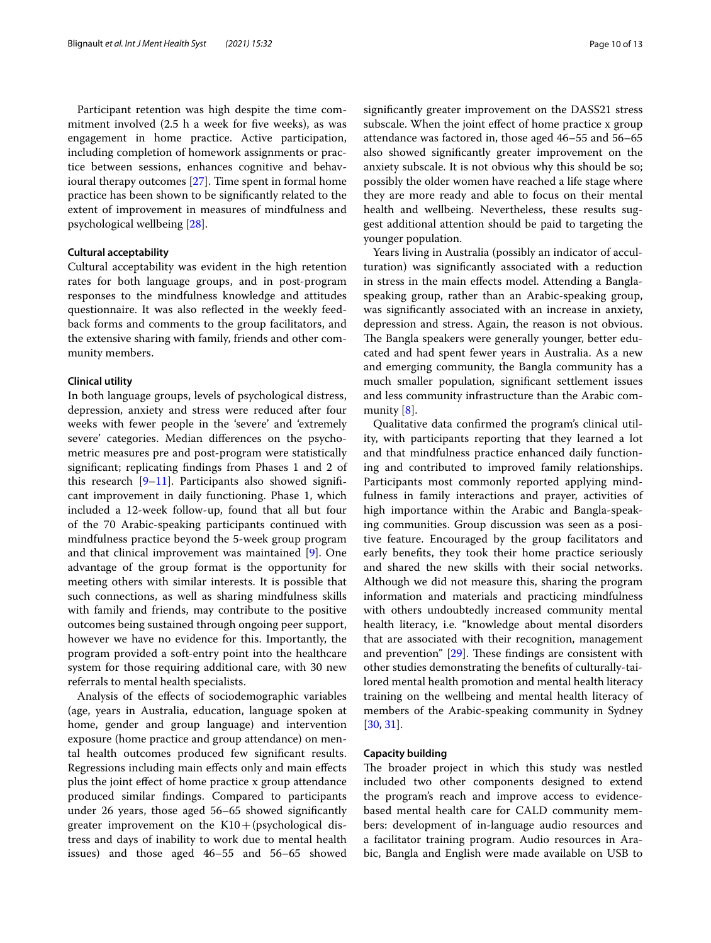Participant retention was high despite the time commitment involved (2.5 h a week for five weeks), as was engagement in home practice. Active participation, including completion of homework assignments or practice between sessions, enhances cognitive and behavioural therapy outcomes [[27](#page-12-5)]. Time spent in formal home practice has been shown to be signifcantly related to the extent of improvement in measures of mindfulness and psychological wellbeing [[28\]](#page-12-6).

#### **Cultural acceptability**

Cultural acceptability was evident in the high retention rates for both language groups, and in post-program responses to the mindfulness knowledge and attitudes questionnaire. It was also refected in the weekly feedback forms and comments to the group facilitators, and the extensive sharing with family, friends and other community members.

#### **Clinical utility**

In both language groups, levels of psychological distress, depression, anxiety and stress were reduced after four weeks with fewer people in the 'severe' and 'extremely severe' categories. Median diferences on the psychometric measures pre and post-program were statistically signifcant; replicating fndings from Phases 1 and 2 of this research  $[9-11]$  $[9-11]$  $[9-11]$ . Participants also showed significant improvement in daily functioning. Phase 1, which included a 12-week follow-up, found that all but four of the 70 Arabic-speaking participants continued with mindfulness practice beyond the 5-week group program and that clinical improvement was maintained [\[9\]](#page-11-8). One advantage of the group format is the opportunity for meeting others with similar interests. It is possible that such connections, as well as sharing mindfulness skills with family and friends, may contribute to the positive outcomes being sustained through ongoing peer support, however we have no evidence for this. Importantly, the program provided a soft-entry point into the healthcare system for those requiring additional care, with 30 new referrals to mental health specialists.

Analysis of the efects of sociodemographic variables (age, years in Australia, education, language spoken at home, gender and group language) and intervention exposure (home practice and group attendance) on mental health outcomes produced few signifcant results. Regressions including main efects only and main efects plus the joint efect of home practice x group attendance produced similar fndings. Compared to participants under 26 years, those aged 56–65 showed signifcantly greater improvement on the  $K10+$ (psychological distress and days of inability to work due to mental health issues) and those aged 46–55 and 56–65 showed signifcantly greater improvement on the DASS21 stress subscale. When the joint efect of home practice x group attendance was factored in, those aged 46–55 and 56–65 also showed signifcantly greater improvement on the anxiety subscale. It is not obvious why this should be so; possibly the older women have reached a life stage where they are more ready and able to focus on their mental health and wellbeing. Nevertheless, these results suggest additional attention should be paid to targeting the younger population.

Years living in Australia (possibly an indicator of acculturation) was signifcantly associated with a reduction in stress in the main efects model. Attending a Banglaspeaking group, rather than an Arabic-speaking group, was signifcantly associated with an increase in anxiety, depression and stress. Again, the reason is not obvious. The Bangla speakers were generally younger, better educated and had spent fewer years in Australia. As a new and emerging community, the Bangla community has a much smaller population, signifcant settlement issues and less community infrastructure than the Arabic community [[8](#page-11-7)].

Qualitative data confrmed the program's clinical utility, with participants reporting that they learned a lot and that mindfulness practice enhanced daily functioning and contributed to improved family relationships. Participants most commonly reported applying mindfulness in family interactions and prayer, activities of high importance within the Arabic and Bangla-speaking communities. Group discussion was seen as a positive feature. Encouraged by the group facilitators and early benefts, they took their home practice seriously and shared the new skills with their social networks. Although we did not measure this, sharing the program information and materials and practicing mindfulness with others undoubtedly increased community mental health literacy, i.e. "knowledge about mental disorders that are associated with their recognition, management and prevention"  $[29]$  $[29]$  $[29]$ . These findings are consistent with other studies demonstrating the benefts of culturally-tailored mental health promotion and mental health literacy training on the wellbeing and mental health literacy of members of the Arabic-speaking community in Sydney [[30,](#page-12-8) [31](#page-12-9)].

#### **Capacity building**

The broader project in which this study was nestled included two other components designed to extend the program's reach and improve access to evidencebased mental health care for CALD community members: development of in-language audio resources and a facilitator training program. Audio resources in Arabic, Bangla and English were made available on USB to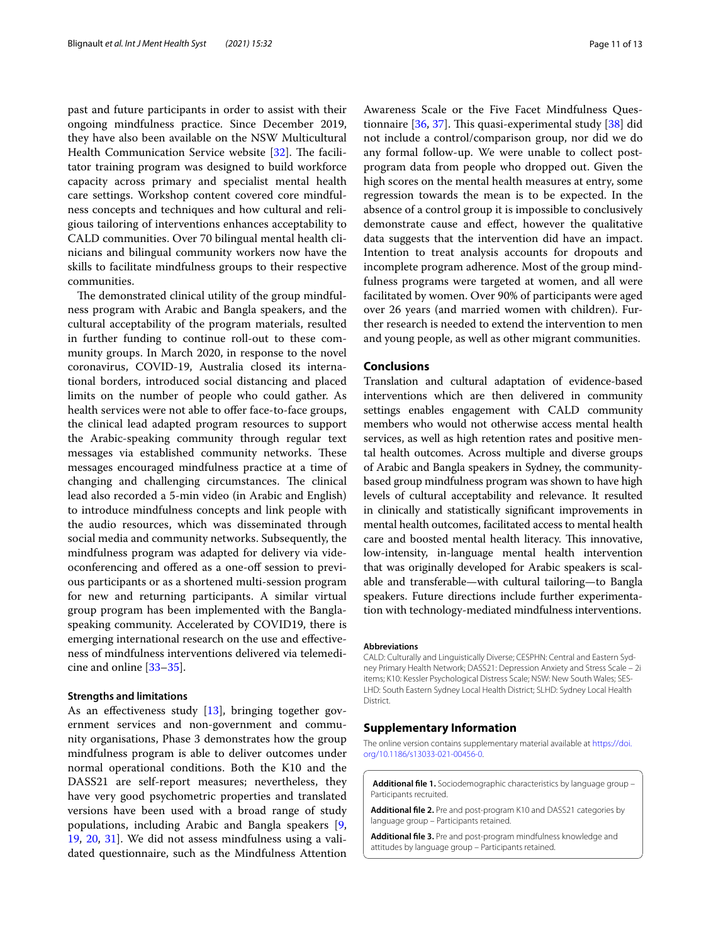past and future participants in order to assist with their ongoing mindfulness practice. Since December 2019, they have also been available on the NSW Multicultural Health Communication Service website [\[32](#page-12-10)]. The facilitator training program was designed to build workforce capacity across primary and specialist mental health care settings. Workshop content covered core mindfulness concepts and techniques and how cultural and religious tailoring of interventions enhances acceptability to CALD communities. Over 70 bilingual mental health clinicians and bilingual community workers now have the skills to facilitate mindfulness groups to their respective communities.

The demonstrated clinical utility of the group mindfulness program with Arabic and Bangla speakers, and the cultural acceptability of the program materials, resulted in further funding to continue roll-out to these community groups. In March 2020, in response to the novel coronavirus, COVID-19, Australia closed its international borders, introduced social distancing and placed limits on the number of people who could gather. As health services were not able to offer face-to-face groups, the clinical lead adapted program resources to support the Arabic-speaking community through regular text messages via established community networks. These messages encouraged mindfulness practice at a time of changing and challenging circumstances. The clinical lead also recorded a 5-min video (in Arabic and English) to introduce mindfulness concepts and link people with the audio resources, which was disseminated through social media and community networks. Subsequently, the mindfulness program was adapted for delivery via videoconferencing and ofered as a one-of session to previous participants or as a shortened multi-session program for new and returning participants. A similar virtual group program has been implemented with the Banglaspeaking community. Accelerated by COVID19, there is emerging international research on the use and efectiveness of mindfulness interventions delivered via telemedicine and online [[33](#page-12-11)[–35](#page-12-12)].

#### **Strengths and limitations**

As an effectiveness study  $[13]$  $[13]$ , bringing together government services and non-government and community organisations, Phase 3 demonstrates how the group mindfulness program is able to deliver outcomes under normal operational conditions. Both the K10 and the DASS21 are self-report measures; nevertheless, they have very good psychometric properties and translated versions have been used with a broad range of study populations, including Arabic and Bangla speakers [\[9](#page-11-8), [19,](#page-11-18) [20](#page-11-19), [31\]](#page-12-9). We did not assess mindfulness using a validated questionnaire, such as the Mindfulness Attention

Awareness Scale or the Five Facet Mindfulness Questionnaire  $[36, 37]$  $[36, 37]$  $[36, 37]$  $[36, 37]$ . This quasi-experimental study  $[38]$  $[38]$  did not include a control/comparison group, nor did we do any formal follow-up. We were unable to collect postprogram data from people who dropped out. Given the high scores on the mental health measures at entry, some regression towards the mean is to be expected. In the absence of a control group it is impossible to conclusively demonstrate cause and efect, however the qualitative data suggests that the intervention did have an impact. Intention to treat analysis accounts for dropouts and incomplete program adherence. Most of the group mindfulness programs were targeted at women, and all were facilitated by women. Over 90% of participants were aged over 26 years (and married women with children). Further research is needed to extend the intervention to men and young people, as well as other migrant communities.

#### **Conclusions**

Translation and cultural adaptation of evidence-based interventions which are then delivered in community settings enables engagement with CALD community members who would not otherwise access mental health services, as well as high retention rates and positive mental health outcomes. Across multiple and diverse groups of Arabic and Bangla speakers in Sydney, the communitybased group mindfulness program was shown to have high levels of cultural acceptability and relevance. It resulted in clinically and statistically signifcant improvements in mental health outcomes, facilitated access to mental health care and boosted mental health literacy. This innovative, low-intensity, in-language mental health intervention that was originally developed for Arabic speakers is scalable and transferable—with cultural tailoring—to Bangla speakers. Future directions include further experimentation with technology-mediated mindfulness interventions.

#### **Abbreviations**

CALD: Culturally and Linguistically Diverse; CESPHN: Central and Eastern Sydney Primary Health Network; DASS21: Depression Anxiety and Stress Scale – 2i items; K10: Kessler Psychological Distress Scale; NSW: New South Wales; SES-LHD: South Eastern Sydney Local Health District; SLHD: Sydney Local Health District.

#### **Supplementary Information**

The online version contains supplementary material available at [https://doi.](https://doi.org/10.1186/s13033-021-00456-0) [org/10.1186/s13033-021-00456-0](https://doi.org/10.1186/s13033-021-00456-0).

<span id="page-10-1"></span><span id="page-10-0"></span>**Additional fle 1.** Sociodemographic characteristics by language group – Participants recruited.

<span id="page-10-2"></span>**Additional fle 2.** Pre and post-program K10 and DASS21 categories by language group – Participants retained.

**Additional fle 3.** Pre and post-program mindfulness knowledge and attitudes by language group – Participants retained.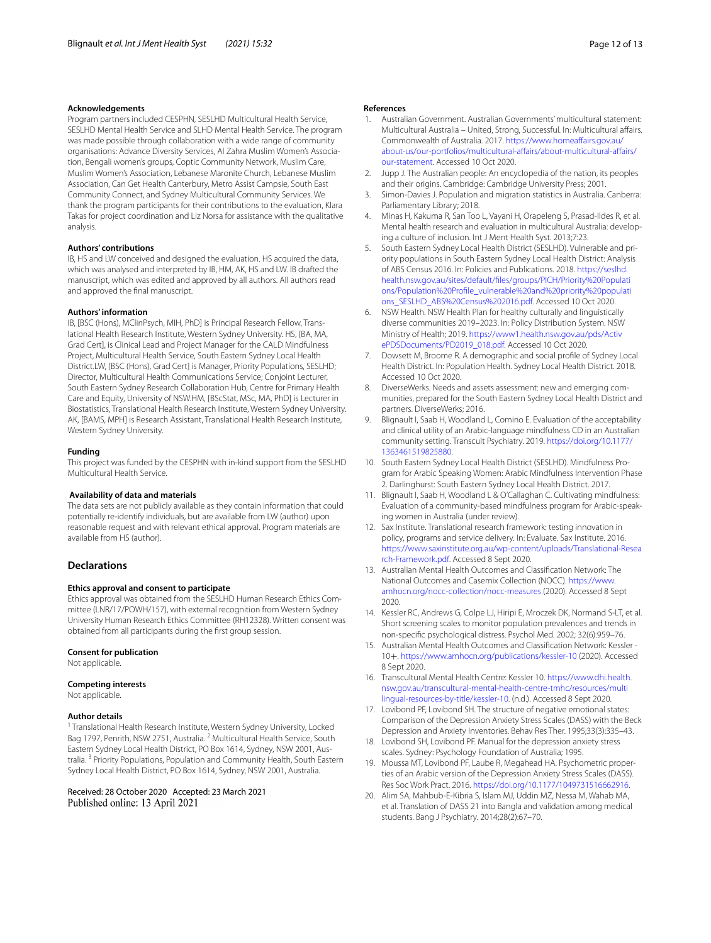#### **Acknowledgements**

Program partners included CESPHN, SESLHD Multicultural Health Service, SESLHD Mental Health Service and SLHD Mental Health Service. The program was made possible through collaboration with a wide range of community organisations: Advance Diversity Services, Al Zahra Muslim Women's Association, Bengali women's groups, Coptic Community Network, Muslim Care, Muslim Women's Association, Lebanese Maronite Church, Lebanese Muslim Association, Can Get Health Canterbury, Metro Assist Campsie, South East Community Connect, and Sydney Multicultural Community Services. We thank the program participants for their contributions to the evaluation, Klara Takas for project coordination and Liz Norsa for assistance with the qualitative analysis.

#### **Authors' contributions**

IB, HS and LW conceived and designed the evaluation. HS acquired the data, which was analysed and interpreted by IB, HM, AK, HS and LW. IB drafted the manuscript, which was edited and approved by all authors. All authors read and approved the fnal manuscript.

#### **Authors' information**

IB, [BSC (Hons), MClinPsych, MIH, PhD] is Principal Research Fellow, Translational Health Research Institute, Western Sydney University. HS, [BA, MA, Grad Cert], is Clinical Lead and Project Manager for the CALD Mindfulness Project, Multicultural Health Service, South Eastern Sydney Local Health District.LW, [BSC (Hons), Grad Cert] is Manager, Priority Populations, SESLHD; Director, Multicultural Health Communications Service; Conjoint Lecturer, South Eastern Sydney Research Collaboration Hub, Centre for Primary Health Care and Equity, University of NSW.HM, [BScStat, MSc, MA, PhD] is Lecturer in Biostatistics, Translational Health Research Institute, Western Sydney University. AK, [BAMS, MPH] is Research Assistant, Translational Health Research Institute, Western Sydney University.

#### **Funding**

This project was funded by the CESPHN with in-kind support from the SESLHD Multicultural Health Service.

#### **Availability of data and materials**

The data sets are not publicly available as they contain information that could potentially re-identify individuals, but are available from LW (author) upon reasonable request and with relevant ethical approval. Program materials are available from HS (author).

#### **Declarations**

#### **Ethics approval and consent to participate**

Ethics approval was obtained from the SESLHD Human Research Ethics Committee (LNR/17/POWH/157), with external recognition from Western Sydney University Human Research Ethics Committee (RH12328). Written consent was obtained from all participants during the frst group session.

#### **Consent for publication**

Not applicable.

#### **Competing interests**

Not applicable.

#### **Author details**

<sup>1</sup> Translational Health Research Institute, Western Sydney University, Locked Bag 1797, Penrith, NSW 2751, Australia.<sup>2</sup> Multicultural Health Service, South Eastern Sydney Local Health District, PO Box 1614, Sydney, NSW 2001, Australia. 3 Priority Populations, Population and Community Health, South Eastern Sydney Local Health District, PO Box 1614, Sydney, NSW 2001, Australia.

Received: 28 October 2020 Accepted: 23 March 2021 Published online: 13 April 2021

#### **References**

- <span id="page-11-0"></span>1. Australian Government. Australian Governments' multicultural statement: Multicultural Australia – United, Strong, Successful. In: Multicultural afairs. Commonwealth of Australia. 2017. [https://www.homeafairs.gov.au/](https://www.homeaffairs.gov.au/about-us/our-portfolios/multicultural-affairs/about-multicultural-affairs/our-statement) [about-us/our-portfolios/multicultural-afairs/about-multicultural-afairs/](https://www.homeaffairs.gov.au/about-us/our-portfolios/multicultural-affairs/about-multicultural-affairs/our-statement) [our-statement.](https://www.homeaffairs.gov.au/about-us/our-portfolios/multicultural-affairs/about-multicultural-affairs/our-statement) Accessed 10 Oct 2020.
- <span id="page-11-1"></span>2. Jupp J. The Australian people: An encyclopedia of the nation, its peoples and their origins. Cambridge: Cambridge University Press; 2001.
- <span id="page-11-2"></span>Simon-Davies J. Population and migration statistics in Australia. Canberra: Parliamentary Library; 2018.
- <span id="page-11-3"></span>4. Minas H, Kakuma R, San Too L, Vayani H, Orapeleng S, Prasad-Ildes R, et al. Mental health research and evaluation in multicultural Australia: developing a culture of inclusion. Int J Ment Health Syst. 2013;7:23.
- <span id="page-11-4"></span>5. South Eastern Sydney Local Health District (SESLHD). Vulnerable and priority populations in South Eastern Sydney Local Health District: Analysis of ABS Census 2016. In: Policies and Publications. 2018. [https://seslhd.](https://seslhd.health.nsw.gov.au/sites/default/files/groups/PICH/Priority%20Populations/Population%20Profile_vulnerable%20and%20priority%20populations_SESLHD_ABS%20Census%202016.pdf) [health.nsw.gov.au/sites/default/fles/groups/PICH/Priority%20Populati](https://seslhd.health.nsw.gov.au/sites/default/files/groups/PICH/Priority%20Populations/Population%20Profile_vulnerable%20and%20priority%20populations_SESLHD_ABS%20Census%202016.pdf) [ons/Population%20Profle\\_vulnerable%20and%20priority%20populati](https://seslhd.health.nsw.gov.au/sites/default/files/groups/PICH/Priority%20Populations/Population%20Profile_vulnerable%20and%20priority%20populations_SESLHD_ABS%20Census%202016.pdf) [ons\\_SESLHD\\_ABS%20Census%202016.pdf](https://seslhd.health.nsw.gov.au/sites/default/files/groups/PICH/Priority%20Populations/Population%20Profile_vulnerable%20and%20priority%20populations_SESLHD_ABS%20Census%202016.pdf). Accessed 10 Oct 2020.
- <span id="page-11-5"></span>6. NSW Health. NSW Health Plan for healthy culturally and linguistically diverse communities 2019–2023. In: Policy Distribution System. NSW Ministry of Health; 2019. [https://www1.health.nsw.gov.au/pds/Activ](https://www1.health.nsw.gov.au/pds/ActivePDSDocuments/PD2019_018.pdf) [ePDSDocuments/PD2019\\_018.pdf](https://www1.health.nsw.gov.au/pds/ActivePDSDocuments/PD2019_018.pdf). Accessed 10 Oct 2020.
- <span id="page-11-6"></span>7. Dowsett M, Broome R. A demographic and social profle of Sydney Local Health District. In: Population Health. Sydney Local Health District. 2018. Accessed 10 Oct 2020.
- <span id="page-11-7"></span>8. DiverseWerks. Needs and assets assessment: new and emerging communities, prepared for the South Eastern Sydney Local Health District and partners. DiverseWerks; 2016.
- <span id="page-11-8"></span>9. Blignault I, Saab H, Woodland L, Comino E. Evaluation of the acceptability and clinical utility of an Arabic-language mindfulness CD in an Australian community setting. Transcult Psychiatry. 2019. [https://doi.org/10.1177/](https://doi.org/10.1177/1363461519825880) [1363461519825880](https://doi.org/10.1177/1363461519825880).
- <span id="page-11-9"></span>10. South Eastern Sydney Local Health District (SESLHD). Mindfulness Program for Arabic Speaking Women: Arabic Mindfulness Intervention Phase 2. Darlinghurst: South Eastern Sydney Local Health District. 2017.
- <span id="page-11-10"></span>11. Blignault I, Saab H, Woodland L & O'Callaghan C. Cultivating mindfulness: Evaluation of a community-based mindfulness program for Arabic-speaking women in Australia (under review).
- <span id="page-11-11"></span>12. Sax Institute. Translational research framework: testing innovation in policy, programs and service delivery. In: Evaluate. Sax Institute. 2016. [https://www.saxinstitute.org.au/wp-content/uploads/Translational-Resea](https://www.saxinstitute.org.au/wp-content/uploads/Translational-Research-Framework.pdf) [rch-Framework.pdf](https://www.saxinstitute.org.au/wp-content/uploads/Translational-Research-Framework.pdf). Accessed 8 Sept 2020.
- <span id="page-11-12"></span>13. Australian Mental Health Outcomes and Classifcation Network: The National Outcomes and Casemix Collection (NOCC). [https://www.](https://www.amhocn.org/nocc-collection/nocc-measures) [amhocn.org/nocc-collection/nocc-measures](https://www.amhocn.org/nocc-collection/nocc-measures) (2020). Accessed 8 Sept 2020.
- <span id="page-11-13"></span>14. Kessler RC, Andrews G, Colpe LJ, Hiripi E, Mroczek DK, Normand S-LT, et al. Short screening scales to monitor population prevalences and trends in non-specifc psychological distress. Psychol Med. 2002; 32(6):959–76.
- <span id="page-11-14"></span>15. Australian Mental Health Outcomes and Classifcation Network: Kessler - 10+. <https://www.amhocn.org/publications/kessler-10> (2020). Accessed 8 Sept 2020.
- <span id="page-11-15"></span>16. Transcultural Mental Health Centre: Kessler 10. [https://www.dhi.health.](https://www.dhi.health.nsw.gov.au/transcultural-mental-health-centre-tmhc/resources/multilingual-resources-by-title/kessler-10) [nsw.gov.au/transcultural-mental-health-centre-tmhc/resources/multi](https://www.dhi.health.nsw.gov.au/transcultural-mental-health-centre-tmhc/resources/multilingual-resources-by-title/kessler-10) [lingual-resources-by-title/kessler-10.](https://www.dhi.health.nsw.gov.au/transcultural-mental-health-centre-tmhc/resources/multilingual-resources-by-title/kessler-10) (n.d.). Accessed 8 Sept 2020.
- <span id="page-11-16"></span>17. Lovibond PF, Lovibond SH. The structure of negative emotional states: Comparison of the Depression Anxiety Stress Scales (DASS) with the Beck Depression and Anxiety Inventories. Behav Res Ther. 1995;33(3):335–43.
- <span id="page-11-17"></span>18. Lovibond SH, Lovibond PF. Manual for the depression anxiety stress scales. Sydney: Psychology Foundation of Australia; 1995.
- <span id="page-11-18"></span>19. Moussa MT, Lovibond PF, Laube R, Megahead HA. Psychometric properties of an Arabic version of the Depression Anxiety Stress Scales (DASS). Res Soc Work Pract. 2016. [https://doi.org/10.1177/1049731516662916.](https://doi.org/10.1177/1049731516662916)
- <span id="page-11-19"></span>20. Alim SA, Mahbub-E-Kibria S, Islam MJ, Uddin MZ, Nessa M, Wahab MA, et al. Translation of DASS 21 into Bangla and validation among medical students. Bang J Psychiatry. 2014;28(2):67–70.